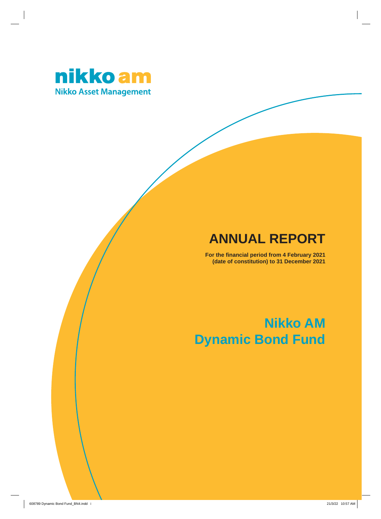

# **ANNUAL REPORT**

**For the fi nancial period from 4 February 2021 (date of constitution) to 31 December 2021**

# **Nikko AM Dynamic Bond Fund**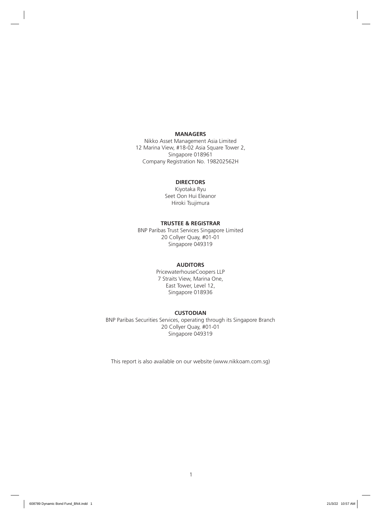# **MANAGERS**

Nikko Asset Management Asia Limited 12 Marina View, #18-02 Asia Square Tower 2, Singapore 018961 Company Registration No. 198202562H

# **DIRECTORS**

Kiyotaka Ryu Seet Oon Hui Eleanor Hiroki Tsujimura

# **TRUSTEE & REGISTRAR**

BNP Paribas Trust Services Singapore Limited 20 Collyer Quay, #01-01 Singapore 049319

#### **AUDITORS**

PricewaterhouseCoopers LLP 7 Straits View, Marina One, East Tower, Level 12, Singapore 018936

# **CUSTODIAN**

BNP Paribas Securities Services, operating through its Singapore Branch 20 Collyer Quay, #01-01 Singapore 049319

This report is also available on our website (www.nikkoam.com.sg)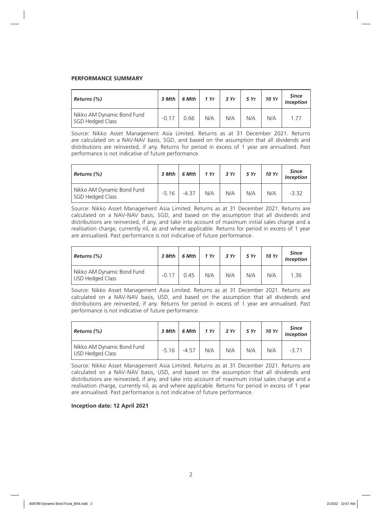#### **PERFORMANCE SUMMARY**

| Returns (%)                                    | 3 Mth   | $6$ Mth $\vert$ | 1 Yr | 3Yr | 5Yr | <b>10 Yr</b> | Since<br>Inception |
|------------------------------------------------|---------|-----------------|------|-----|-----|--------------|--------------------|
| Nikko AM Dynamic Bond Fund<br>SGD Hedged Class | $-0.17$ | 0.66            | N/A  | N/A | N/A | N/A          | 1 7 7              |

Source: Nikko Asset Management Asia Limited. Returns as at 31 December 2021. Returns are calculated on a NAV-NAV basis, SGD, and based on the assumption that all dividends and distributions are reinvested, if any. Returns for period in excess of 1 year are annualised. Past performance is not indicative of future performance.

| Returns (%)                                    | $3$ Mth $\vert$ | 6 Mth L | 1 Yr | 3 Yr | 5 Yr | <b>10 Yr</b> | Since<br>Inception |
|------------------------------------------------|-----------------|---------|------|------|------|--------------|--------------------|
| Nikko AM Dynamic Bond Fund<br>SGD Hedged Class | $-5.16$         | $-4.37$ | N/A  | N/A  | N/A  | N/A          | $-3.32$            |

Source: Nikko Asset Management Asia Limited. Returns as at 31 December 2021. Returns are calculated on a NAV-NAV basis, SGD, and based on the assumption that all dividends and distributions are reinvested, if any, and take into account of maximum initial sales charge and a realisation charge, currently nil, as and where applicable. Returns for period in excess of 1 year are annualised. Past performance is not indicative of future performance.

| Returns (%)                                    | $3$ Mth $\vert$ | 6 Mth | 1Yr | $3Yr$ | 5 Yr | 10 Yr | Since<br>Inception |
|------------------------------------------------|-----------------|-------|-----|-------|------|-------|--------------------|
| Nikko AM Dynamic Bond Fund<br>USD Hedged Class | $-0.17$         | 0.45  | N/A | N/A   | N/A  | N/A   | 1.36               |

Source: Nikko Asset Management Asia Limited. Returns as at 31 December 2021. Returns are calculated on a NAV-NAV basis, USD, and based on the assumption that all dividends and distributions are reinvested, if any. Returns for period in excess of 1 year are annualised. Past performance is not indicative of future performance.

| Returns (%)                                    | 3 Mth   | 6 Mth   | 1 Yr | 3Yr | 5 Yr | <b>10 Yr</b> | <b>Since</b><br><i>Inception</i> |
|------------------------------------------------|---------|---------|------|-----|------|--------------|----------------------------------|
| Nikko AM Dynamic Bond Fund<br>USD Hedged Class | $-5.16$ | $-4.57$ | N/A  | N/A | N/A  | N/A          | $-3.71$                          |

Source: Nikko Asset Management Asia Limited. Returns as at 31 December 2021. Returns are calculated on a NAV-NAV basis, USD, and based on the assumption that all dividends and distributions are reinvested, if any, and take into account of maximum initial sales charge and a realisation charge, currently nil, as and where applicable. Returns for period in excess of 1 year are annualised. Past performance is not indicative of future performance.

# **Inception date: 12 April 2021**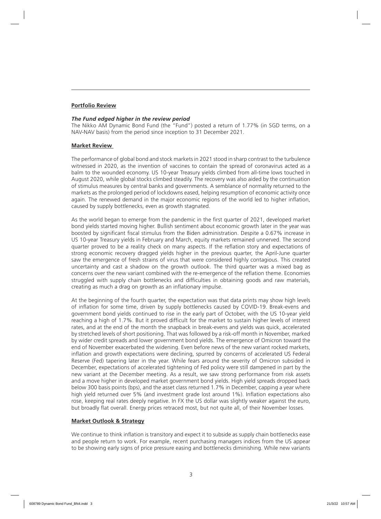# **Portfolio Review**

#### *The Fund edged higher in the review period*

The Nikko AM Dynamic Bond Fund (the "Fund") posted a return of 1.77% (in SGD terms, on a NAV-NAV basis) from the period since inception to 31 December 2021.

#### **Market Review**

The performance of global bond and stock markets in 2021 stood in sharp contrast to the turbulence witnessed in 2020, as the invention of vaccines to contain the spread of coronavirus acted as a balm to the wounded economy. US 10-year Treasury yields climbed from all-time lows touched in August 2020, while global stocks climbed steadily. The recovery was also aided by the continuation of stimulus measures by central banks and governments. A semblance of normality returned to the markets as the prolonged period of lockdowns eased, helping resumption of economic activity once again. The renewed demand in the major economic regions of the world led to higher inflation, caused by supply bottlenecks, even as growth stagnated.

As the world began to emerge from the pandemic in the first quarter of 2021, developed market bond yields started moving higher. Bullish sentiment about economic growth later in the year was boosted by significant fiscal stimulus from the Biden administration. Despite a 0.67% increase in US 10-year Treasury yields in February and March, equity markets remained unnerved. The second quarter proved to be a reality check on many aspects. If the reflation story and expectations of strong economic recovery dragged yields higher in the previous quarter, the April-June quarter saw the emergence of fresh strains of virus that were considered highly contagious. This created uncertainty and cast a shadow on the growth outlook. The third quarter was a mixed bag as concerns over the new variant combined with the re-emergence of the reflation theme. Economies struggled with supply chain bottlenecks and difficulties in obtaining goods and raw materials, creating as much a drag on growth as an inflationary impulse.

At the beginning of the fourth quarter, the expectation was that data prints may show high levels of infl ation for some time, driven by supply bottlenecks caused by COVID-19. Break-evens and government bond yields continued to rise in the early part of October, with the US 10-year yield reaching a high of 1.7%. But it proved difficult for the market to sustain higher levels of interest rates, and at the end of the month the snapback in break-evens and yields was quick, accelerated by stretched levels of short positioning. That was followed by a risk-off month in November, marked by wider credit spreads and lower government bond yields. The emergence of Omicron toward the end of November exacerbated the widening. Even before news of the new variant rocked markets, inflation and growth expectations were declining, spurred by concerns of accelerated US Federal Reserve (Fed) tapering later in the year. While fears around the severity of Omicron subsided in December, expectations of accelerated tightening of Fed policy were still dampened in part by the new variant at the December meeting. As a result, we saw strong performance from risk assets and a move higher in developed market government bond yields. High yield spreads dropped back below 300 basis points (bps), and the asset class returned 1.7% in December, capping a year where high yield returned over 5% (and investment grade lost around 1%). Inflation expectations also rose, keeping real rates deeply negative. In FX the US dollar was slightly weaker against the euro, but broadly flat overall. Energy prices retraced most, but not quite all, of their November losses.

# **Market Outlook & Strategy**

We continue to think inflation is transitory and expect it to subside as supply chain bottlenecks ease and people return to work. For example, recent purchasing managers indices from the US appear to be showing early signs of price pressure easing and bottlenecks diminishing. While new variants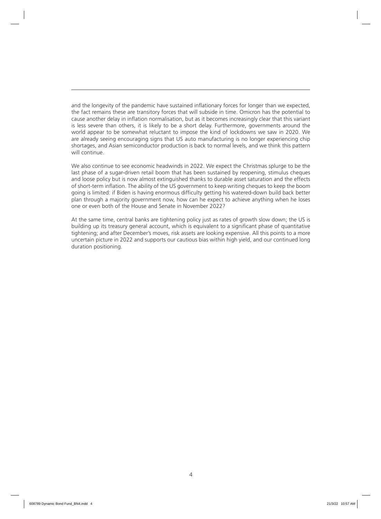and the longevity of the pandemic have sustained inflationary forces for longer than we expected, the fact remains these are transitory forces that will subside in time. Omicron has the potential to cause another delay in inflation normalisation, but as it becomes increasingly clear that this variant is less severe than others, it is likely to be a short delay. Furthermore, governments around the world appear to be somewhat reluctant to impose the kind of lockdowns we saw in 2020. We are already seeing encouraging signs that US auto manufacturing is no longer experiencing chip shortages, and Asian semiconductor production is back to normal levels, and we think this pattern will continue.

We also continue to see economic headwinds in 2022. We expect the Christmas splurge to be the last phase of a sugar-driven retail boom that has been sustained by reopening, stimulus cheques and loose policy but is now almost extinguished thanks to durable asset saturation and the effects of short-term inflation. The ability of the US government to keep writing cheques to keep the boom going is limited: if Biden is having enormous difficulty getting his watered-down build back better plan through a majority government now, how can he expect to achieve anything when he loses one or even both of the House and Senate in November 2022?

At the same time, central banks are tightening policy just as rates of growth slow down; the US is building up its treasury general account, which is equivalent to a significant phase of quantitative tightening; and after December's moves, risk assets are looking expensive. All this points to a more uncertain picture in 2022 and supports our cautious bias within high yield, and our continued long duration positioning.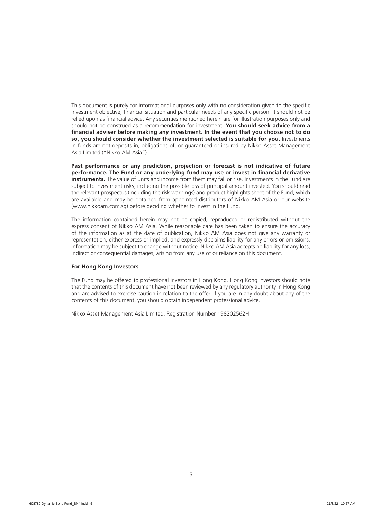This document is purely for informational purposes only with no consideration given to the specific investment objective, financial situation and particular needs of any specific person. It should not be relied upon as financial advice. Any securities mentioned herein are for illustration purposes only and should not be construed as a recommendation for investment. **You should seek advice from a**  financial adviser before making any investment. In the event that you choose not to do **so, you should consider whether the investment selected is suitable for you.** Investments in funds are not deposits in, obligations of, or guaranteed or insured by Nikko Asset Management Asia Limited ("Nikko AM Asia").

**Past performance or any prediction, projection or forecast is not indicative of future**  performance. The Fund or any underlying fund may use or invest in financial derivative **instruments.** The value of units and income from them may fall or rise. Investments in the Fund are subject to investment risks, including the possible loss of principal amount invested. You should read the relevant prospectus (including the risk warnings) and product highlights sheet of the Fund, which are available and may be obtained from appointed distributors of Nikko AM Asia or our website (www.nikkoam.com.sg) before deciding whether to invest in the Fund.

The information contained herein may not be copied, reproduced or redistributed without the express consent of Nikko AM Asia. While reasonable care has been taken to ensure the accuracy of the information as at the date of publication, Nikko AM Asia does not give any warranty or representation, either express or implied, and expressly disclaims liability for any errors or omissions. Information may be subject to change without notice. Nikko AM Asia accepts no liability for any loss, indirect or consequential damages, arising from any use of or reliance on this document.

# **For Hong Kong Investors**

The Fund may be offered to professional investors in Hong Kong. Hong Kong investors should note that the contents of this document have not been reviewed by any regulatory authority in Hong Kong and are advised to exercise caution in relation to the offer. If you are in any doubt about any of the contents of this document, you should obtain independent professional advice.

Nikko Asset Management Asia Limited. Registration Number 198202562H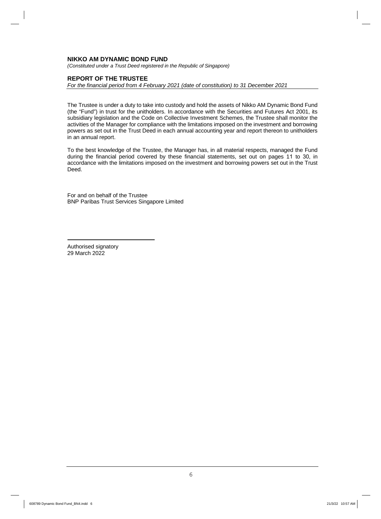*(Constituted under a Trust Deed registered in the Republic of Singapore)* 

# **REPORT OF THE TRUSTEE**

*For the financial period from 4 February 2021 (date of constitution) to 31 December 2021* 

The Trustee is under a duty to take into custody and hold the assets of Nikko AM Dynamic Bond Fund (the "Fund") in trust for the unitholders. In accordance with the Securities and Futures Act 2001, its subsidiary legislation and the Code on Collective Investment Schemes, the Trustee shall monitor the activities of the Manager for compliance with the limitations imposed on the investment and borrowing powers as set out in the Trust Deed in each annual accounting year and report thereon to unitholders in an annual report.

To the best knowledge of the Trustee, the Manager has, in all material respects, managed the Fund during the financial period covered by these financial statements, set out on pages 11 to 30, in accordance with the limitations imposed on the investment and borrowing powers set out in the Trust Deed.

For and on behalf of the Trustee BNP Paribas Trust Services Singapore Limited

Authorised signatory 29 March 2022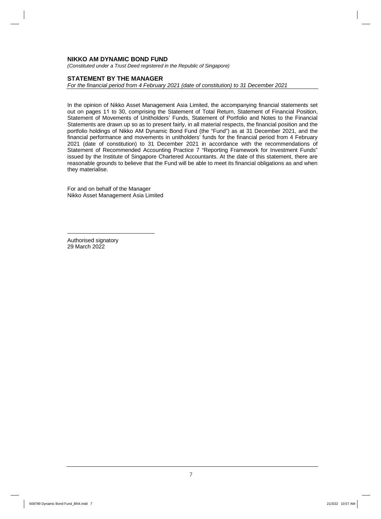*(Constituted under a Trust Deed registered in the Republic of Singapore)* 

# **STATEMENT BY THE MANAGER**

*For the financial period from 4 February 2021 (date of constitution) to 31 December 2021* 

In the opinion of Nikko Asset Management Asia Limited, the accompanying financial statements set out on pages 11 to 30, comprising the Statement of Total Return, Statement of Financial Position, Statement of Movements of Unitholders' Funds, Statement of Portfolio and Notes to the Financial Statements are drawn up so as to present fairly, in all material respects, the financial position and the portfolio holdings of Nikko AM Dynamic Bond Fund (the "Fund") as at 31 December 2021, and the financial performance and movements in unitholders' funds for the financial period from 4 February 2021 (date of constitution) to 31 December 2021 in accordance with the recommendations of Statement of Recommended Accounting Practice 7 "Reporting Framework for Investment Funds" issued by the Institute of Singapore Chartered Accountants. At the date of this statement, there are reasonable grounds to believe that the Fund will be able to meet its financial obligations as and when they materialise.

For and on behalf of the Manager Nikko Asset Management Asia Limited

Authorised signatory 29 March 2022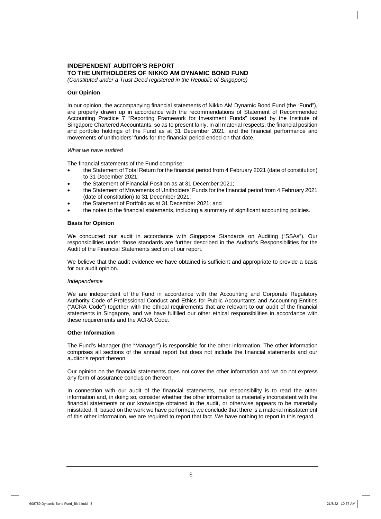# **INDEPENDENT AUDITOR'S REPORT TO THE UNITHOLDERS OF NIKKO AM DYNAMIC BOND FUND**

*(Constituted under a Trust Deed registered in the Republic of Singapore)* 

# **Our Opinion**

In our opinion, the accompanying financial statements of Nikko AM Dynamic Bond Fund (the "Fund"), are properly drawn up in accordance with the recommendations of Statement of Recommended Accounting Practice 7 "Reporting Framework for Investment Funds" issued by the Institute of Singapore Chartered Accountants, so as to present fairly, in all material respects, the financial position and portfolio holdings of the Fund as at 31 December 2021, and the financial performance and movements of unitholders' funds for the financial period ended on that date.

#### *What we have audited*

The financial statements of the Fund comprise:

- the Statement of Total Return for the financial period from 4 February 2021 (date of constitution) to 31 December 2021;
- the Statement of Financial Position as at 31 December 2021;
- x the Statement of Movements of Unitholders' Funds for the financial period from 4 February 2021 (date of constitution) to 31 December 2021;
- the Statement of Portfolio as at 31 December 2021; and
- the notes to the financial statements, including a summary of significant accounting policies.

#### **Basis for Opinion**

We conducted our audit in accordance with Singapore Standards on Auditing ("SSAs"). Our responsibilities under those standards are further described in the Auditor's Responsibilities for the Audit of the Financial Statements section of our report.

We believe that the audit evidence we have obtained is sufficient and appropriate to provide a basis for our audit opinion.

#### *Independence*

We are independent of the Fund in accordance with the Accounting and Corporate Regulatory Authority Code of Professional Conduct and Ethics for Public Accountants and Accounting Entities ("ACRA Code") together with the ethical requirements that are relevant to our audit of the financial statements in Singapore, and we have fulfilled our other ethical responsibilities in accordance with these requirements and the ACRA Code.

#### **Other Information**

The Fund's Manager (the "Manager") is responsible for the other information. The other information comprises all sections of the annual report but does not include the financial statements and our auditor's report thereon.

Our opinion on the financial statements does not cover the other information and we do not express any form of assurance conclusion thereon.

In connection with our audit of the financial statements, our responsibility is to read the other information and, in doing so, consider whether the other information is materially inconsistent with the financial statements or our knowledge obtained in the audit, or otherwise appears to be materially misstated. If, based on the work we have performed, we conclude that there is a material misstatement of this other information, we are required to report that fact. We have nothing to report in this regard.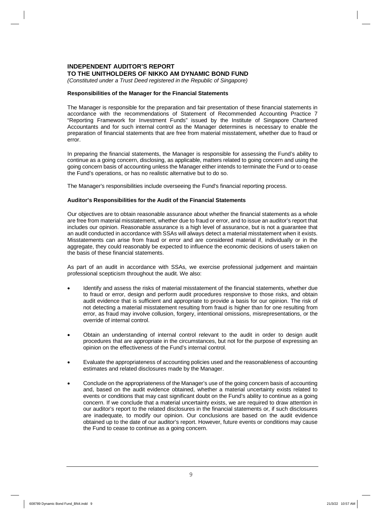# **INDEPENDENT AUDITOR'S REPORT TO THE UNITHOLDERS OF NIKKO AM DYNAMIC BOND FUND**

*(Constituted under a Trust Deed registered in the Republic of Singapore)* 

# **Responsibilities of the Manager for the Financial Statements**

The Manager is responsible for the preparation and fair presentation of these financial statements in accordance with the recommendations of Statement of Recommended Accounting Practice 7 "Reporting Framework for Investment Funds" issued by the Institute of Singapore Chartered Accountants and for such internal control as the Manager determines is necessary to enable the preparation of financial statements that are free from material misstatement, whether due to fraud or error.

In preparing the financial statements, the Manager is responsible for assessing the Fund's ability to continue as a going concern, disclosing, as applicable, matters related to going concern and using the going concern basis of accounting unless the Manager either intends to terminate the Fund or to cease the Fund's operations, or has no realistic alternative but to do so.

The Manager's responsibilities include overseeing the Fund's financial reporting process.

# **Auditor's Responsibilities for the Audit of the Financial Statements**

Our objectives are to obtain reasonable assurance about whether the financial statements as a whole are free from material misstatement, whether due to fraud or error, and to issue an auditor's report that includes our opinion. Reasonable assurance is a high level of assurance, but is not a guarantee that an audit conducted in accordance with SSAs will always detect a material misstatement when it exists. Misstatements can arise from fraud or error and are considered material if, individually or in the aggregate, they could reasonably be expected to influence the economic decisions of users taken on the basis of these financial statements.

As part of an audit in accordance with SSAs, we exercise professional judgement and maintain professional scepticism throughout the audit. We also:

- Identify and assess the risks of material misstatement of the financial statements, whether due to fraud or error, design and perform audit procedures responsive to those risks, and obtain audit evidence that is sufficient and appropriate to provide a basis for our opinion. The risk of not detecting a material misstatement resulting from fraud is higher than for one resulting from error, as fraud may involve collusion, forgery, intentional omissions, misrepresentations, or the override of internal control.
- x Obtain an understanding of internal control relevant to the audit in order to design audit procedures that are appropriate in the circumstances, but not for the purpose of expressing an opinion on the effectiveness of the Fund's internal control.
- Evaluate the appropriateness of accounting policies used and the reasonableness of accounting estimates and related disclosures made by the Manager.
- Conclude on the appropriateness of the Manager's use of the going concern basis of accounting and, based on the audit evidence obtained, whether a material uncertainty exists related to events or conditions that may cast significant doubt on the Fund's ability to continue as a going concern. If we conclude that a material uncertainty exists, we are required to draw attention in our auditor's report to the related disclosures in the financial statements or, if such disclosures are inadequate, to modify our opinion. Our conclusions are based on the audit evidence obtained up to the date of our auditor's report. However, future events or conditions may cause the Fund to cease to continue as a going concern.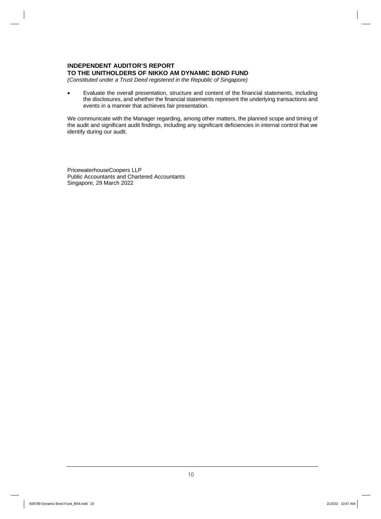# **INDEPENDENT AUDITOR'S REPORT TO THE UNITHOLDERS OF NIKKO AM DYNAMIC BOND FUND**

*(Constituted under a Trust Deed registered in the Republic of Singapore)* 

Evaluate the overall presentation, structure and content of the financial statements, including the disclosures, and whether the financial statements represent the underlying transactions and events in a manner that achieves fair presentation.

We communicate with the Manager regarding, among other matters, the planned scope and timing of the audit and significant audit findings, including any significant deficiencies in internal control that we identify during our audit.

PricewaterhouseCoopers LLP Public Accountants and Chartered Accountants Singapore, 29 March 2022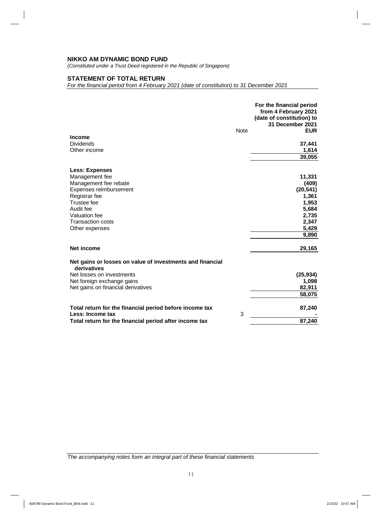*(Constituted under a Trust Deed registered in the Republic of Singapore)* 

# **STATEMENT OF TOTAL RETURN**

*For the financial period from 4 February 2021 (date of constitution) to 31 December 2021* 

|                                                           |             | For the financial period  |
|-----------------------------------------------------------|-------------|---------------------------|
|                                                           |             | from 4 February 2021      |
|                                                           |             | (date of constitution) to |
|                                                           |             | 31 December 2021          |
|                                                           | <b>Note</b> | <b>EUR</b>                |
| <b>Income</b>                                             |             |                           |
| <b>Dividends</b>                                          |             | 37,441                    |
| Other income                                              |             | 1,614                     |
|                                                           |             | 39,055                    |
| <b>Less: Expenses</b>                                     |             |                           |
| Management fee                                            |             | 11,331                    |
| Management fee rebate                                     |             | (409)                     |
| Expenses reimbursement                                    |             | (20, 541)                 |
| Registrar fee                                             |             | 1,361                     |
| <b>Trustee fee</b>                                        |             | 1,953                     |
| Audit fee                                                 |             | 5,684                     |
| Valuation fee                                             |             | 2,735                     |
| <b>Transaction costs</b>                                  |             | 2,347                     |
| Other expenses                                            |             | 5,429                     |
|                                                           |             | 9,890                     |
|                                                           |             |                           |
| <b>Net income</b>                                         |             | 29,165                    |
| Net gains or losses on value of investments and financial |             |                           |
| derivatives                                               |             |                           |
| Net losses on investments                                 |             | (25, 934)                 |
| Net foreign exchange gains                                |             | 1,098                     |
| Net gains on financial derivatives                        |             | 82,911                    |
|                                                           |             | 58,075                    |
|                                                           |             |                           |
| Total return for the financial period before income tax   |             | 87,240                    |
| Less: Income tax                                          | 3           |                           |
| Total return for the financial period after income tax    |             | 87,240                    |
|                                                           |             |                           |

*The accompanying notes form an integral part of these financial statements*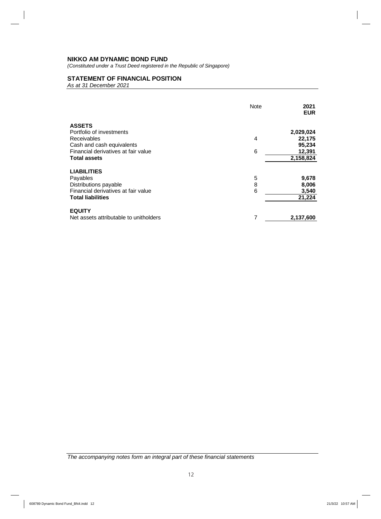*(Constituted under a Trust Deed registered in the Republic of Singapore)* 

# **STATEMENT OF FINANCIAL POSITION**

*As at 31 December 2021* 

|                                                                                                                                                     | Note        | 2021<br><b>EUR</b>                                   |
|-----------------------------------------------------------------------------------------------------------------------------------------------------|-------------|------------------------------------------------------|
| <b>ASSETS</b><br>Portfolio of investments<br>Receivables<br>Cash and cash equivalents<br>Financial derivatives at fair value<br><b>Total assets</b> | 4<br>6      | 2,029,024<br>22,175<br>95,234<br>12,391<br>2,158,824 |
| <b>LIABILITIES</b><br>Payables<br>Distributions payable<br>Financial derivatives at fair value<br><b>Total liabilities</b>                          | 5<br>8<br>6 | 9,678<br>8,006<br>3,540<br>21,224                    |
| <b>EQUITY</b><br>Net assets attributable to unitholders                                                                                             | 7           | 2,137,600                                            |

*The accompanying notes form an integral part of these financial statements*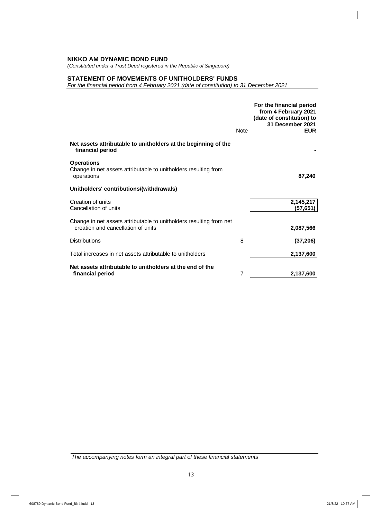*(Constituted under a Trust Deed registered in the Republic of Singapore)* 

# **STATEMENT OF MOVEMENTS OF UNITHOLDERS' FUNDS**

*For the financial period from 4 February 2021 (date of constitution) to 31 December 2021* 

|                                                                                                           |             | For the financial period<br>from 4 February 2021<br>(date of constitution) to<br>31 December 2021 |
|-----------------------------------------------------------------------------------------------------------|-------------|---------------------------------------------------------------------------------------------------|
|                                                                                                           | <b>Note</b> | <b>EUR</b>                                                                                        |
| Net assets attributable to unitholders at the beginning of the<br>financial period                        |             |                                                                                                   |
| <b>Operations</b><br>Change in net assets attributable to unitholders resulting from<br>operations        |             | 87,240                                                                                            |
| Unitholders' contributions/(withdrawals)                                                                  |             |                                                                                                   |
| Creation of units<br>Cancellation of units                                                                |             | 2,145,217<br>(57, 651)                                                                            |
| Change in net assets attributable to unitholders resulting from net<br>creation and cancellation of units |             | 2,087,566                                                                                         |
| <b>Distributions</b>                                                                                      | 8           | (37, 206)                                                                                         |
| Total increases in net assets attributable to unitholders                                                 |             | 2,137,600                                                                                         |
| Net assets attributable to unitholders at the end of the<br>financial period                              | 7           | 2,137,600                                                                                         |

*The accompanying notes form an integral part of these financial statements*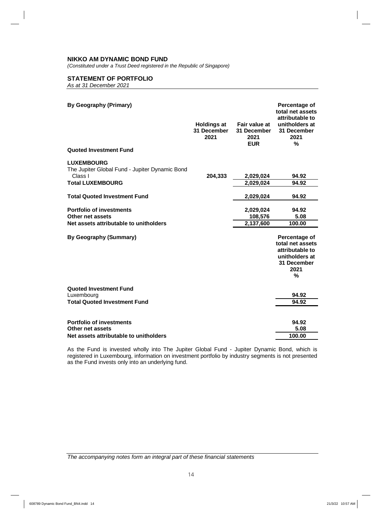*(Constituted under a Trust Deed registered in the Republic of Singapore)* 

# **STATEMENT OF PORTFOLIO**

*As at 31 December 2021* 

| <b>By Geography (Primary)</b>                                       |                                           |                                                    | Percentage of<br>total net assets<br>attributable to                                                           |
|---------------------------------------------------------------------|-------------------------------------------|----------------------------------------------------|----------------------------------------------------------------------------------------------------------------|
|                                                                     | <b>Holdings at</b><br>31 December<br>2021 | Fair value at<br>31 December<br>2021<br><b>EUR</b> | unitholders at<br>31 December<br>2021<br>$\frac{0}{0}$                                                         |
| <b>Quoted Investment Fund</b>                                       |                                           |                                                    |                                                                                                                |
| <b>LUXEMBOURG</b><br>The Jupiter Global Fund - Jupiter Dynamic Bond |                                           |                                                    |                                                                                                                |
| Class I                                                             | 204,333                                   | 2,029,024                                          | 94.92                                                                                                          |
| <b>Total LUXEMBOURG</b>                                             |                                           | 2,029,024                                          | 94.92                                                                                                          |
| <b>Total Quoted Investment Fund</b>                                 |                                           | 2,029,024                                          | 94.92                                                                                                          |
| <b>Portfolio of investments</b>                                     |                                           | 2,029,024                                          | 94.92                                                                                                          |
| Other net assets                                                    |                                           | 108,576                                            | 5.08                                                                                                           |
| Net assets attributable to unitholders                              |                                           | 2,137,600                                          | 100.00                                                                                                         |
| <b>By Geography (Summary)</b>                                       |                                           |                                                    | Percentage of<br>total net assets<br>attributable to<br>unitholders at<br>31 December<br>2021<br>$\frac{0}{0}$ |
| <b>Quoted Investment Fund</b><br>Luxembourg                         |                                           |                                                    | 94.92                                                                                                          |
| <b>Total Quoted Investment Fund</b>                                 |                                           |                                                    | 94.92                                                                                                          |
| <b>Portfolio of investments</b>                                     |                                           |                                                    | 94.92                                                                                                          |
| Other net assets                                                    |                                           |                                                    | 5.08                                                                                                           |
| Net assets attributable to unitholders                              |                                           |                                                    | 100.00                                                                                                         |

As the Fund is invested wholly into The Jupiter Global Fund - Jupiter Dynamic Bond, which is registered in Luxembourg, information on investment portfolio by industry segments is not presented as the Fund invests only into an underlying fund.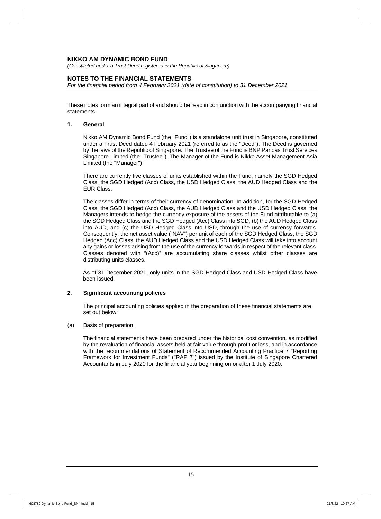*(Constituted under a Trust Deed registered in the Republic of Singapore)* 

# **NOTES TO THE FINANCIAL STATEMENTS**

*For the financial period from 4 February 2021 (date of constitution) to 31 December 2021* 

These notes form an integral part of and should be read in conjunction with the accompanying financial statements.

#### **1. General**

Nikko AM Dynamic Bond Fund (the "Fund") is a standalone unit trust in Singapore, constituted under a Trust Deed dated 4 February 2021 (referred to as the "Deed"). The Deed is governed by the laws of the Republic of Singapore. The Trustee of the Fund is BNP Paribas Trust Services Singapore Limited (the "Trustee"). The Manager of the Fund is Nikko Asset Management Asia Limited (the "Manager").

There are currently five classes of units established within the Fund, namely the SGD Hedged Class, the SGD Hedged (Acc) Class, the USD Hedged Class, the AUD Hedged Class and the EUR Class.

The classes differ in terms of their currency of denomination. In addition, for the SGD Hedged Class, the SGD Hedged (Acc) Class, the AUD Hedged Class and the USD Hedged Class, the Managers intends to hedge the currency exposure of the assets of the Fund attributable to (a) the SGD Hedged Class and the SGD Hedged (Acc) Class into SGD, (b) the AUD Hedged Class into AUD, and (c) the USD Hedged Class into USD, through the use of currency forwards. Consequently, the net asset value ("NAV") per unit of each of the SGD Hedged Class, the SGD Hedged (Acc) Class, the AUD Hedged Class and the USD Hedged Class will take into account any gains or losses arising from the use of the currency forwards in respect of the relevant class. Classes denoted with "(Acc)" are accumulating share classes whilst other classes are distributing units classes.

As of 31 December 2021, only units in the SGD Hedged Class and USD Hedged Class have been issued.

# **2**. **Significant accounting policies**

The principal accounting policies applied in the preparation of these financial statements are set out below:

# (a) Basis of preparation

The financial statements have been prepared under the historical cost convention, as modified by the revaluation of financial assets held at fair value through profit or loss, and in accordance with the recommendations of Statement of Recommended Accounting Practice 7 "Reporting Framework for Investment Funds" ("RAP 7") issued by the Institute of Singapore Chartered Accountants in July 2020 for the financial year beginning on or after 1 July 2020.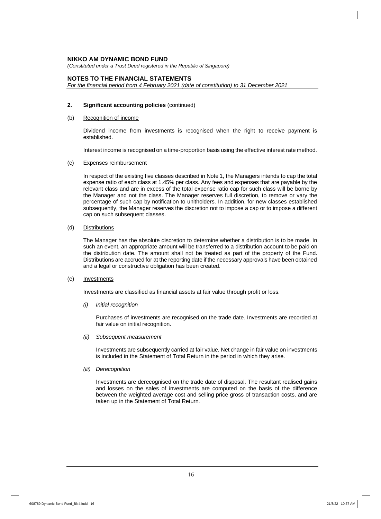*(Constituted under a Trust Deed registered in the Republic of Singapore)* 

# **NOTES TO THE FINANCIAL STATEMENTS**

*For the financial period from 4 February 2021 (date of constitution) to 31 December 2021* 

#### **2. Significant accounting policies** (continued)

#### (b) Recognition of income

Dividend income from investments is recognised when the right to receive payment is established.

Interest income is recognised on a time-proportion basis using the effective interest rate method.

#### (c) Expenses reimbursement

In respect of the existing five classes described in Note 1, the Managers intends to cap the total expense ratio of each class at 1.45% per class. Any fees and expenses that are payable by the relevant class and are in excess of the total expense ratio cap for such class will be borne by the Manager and not the class. The Manager reserves full discretion, to remove or vary the percentage of such cap by notification to unitholders. In addition, for new classes established subsequently, the Manager reserves the discretion not to impose a cap or to impose a different cap on such subsequent classes.

#### (d) Distributions

The Manager has the absolute discretion to determine whether a distribution is to be made. In such an event, an appropriate amount will be transferred to a distribution account to be paid on the distribution date. The amount shall not be treated as part of the property of the Fund. Distributions are accrued for at the reporting date if the necessary approvals have been obtained and a legal or constructive obligation has been created.

#### (e) Investments

Investments are classified as financial assets at fair value through profit or loss.

#### *(i) Initial recognition*

Purchases of investments are recognised on the trade date. Investments are recorded at fair value on initial recognition.

#### *(ii) Subsequent measurement*

Investments are subsequently carried at fair value. Net change in fair value on investments is included in the Statement of Total Return in the period in which they arise.

*(iii) Derecognition* 

Investments are derecognised on the trade date of disposal. The resultant realised gains and losses on the sales of investments are computed on the basis of the difference between the weighted average cost and selling price gross of transaction costs, and are taken up in the Statement of Total Return.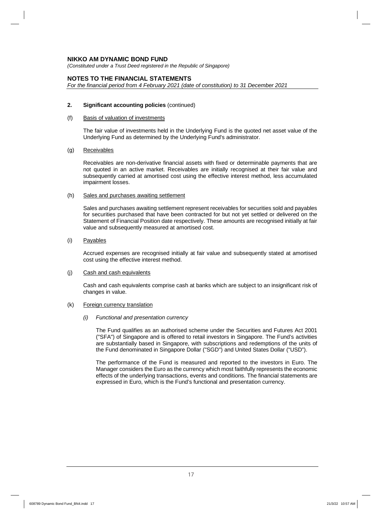*(Constituted under a Trust Deed registered in the Republic of Singapore)* 

# **NOTES TO THE FINANCIAL STATEMENTS**

*For the financial period from 4 February 2021 (date of constitution) to 31 December 2021* 

#### **2. Significant accounting policies** (continued)

#### (f) Basis of valuation of investments

The fair value of investments held in the Underlying Fund is the quoted net asset value of the Underlying Fund as determined by the Underlying Fund's administrator.

#### (g) Receivables

Receivables are non-derivative financial assets with fixed or determinable payments that are not quoted in an active market. Receivables are initially recognised at their fair value and subsequently carried at amortised cost using the effective interest method, less accumulated impairment losses.

#### (h) Sales and purchases awaiting settlement

Sales and purchases awaiting settlement represent receivables for securities sold and payables for securities purchased that have been contracted for but not yet settled or delivered on the Statement of Financial Position date respectively. These amounts are recognised initially at fair value and subsequently measured at amortised cost.

#### (i) Payables

Accrued expenses are recognised initially at fair value and subsequently stated at amortised cost using the effective interest method.

#### (j) Cash and cash equivalents

Cash and cash equivalents comprise cash at banks which are subject to an insignificant risk of changes in value.

# (k) Foreign currency translation

#### *(i) Functional and presentation currency*

The Fund qualifies as an authorised scheme under the Securities and Futures Act 2001 ("SFA") of Singapore and is offered to retail investors in Singapore. The Fund's activities are substantially based in Singapore, with subscriptions and redemptions of the units of the Fund denominated in Singapore Dollar ("SGD") and United States Dollar ("USD").

The performance of the Fund is measured and reported to the investors in Euro. The Manager considers the Euro as the currency which most faithfully represents the economic effects of the underlying transactions, events and conditions. The financial statements are expressed in Euro, which is the Fund's functional and presentation currency.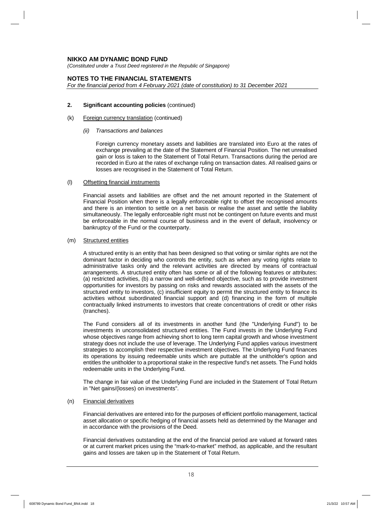*(Constituted under a Trust Deed registered in the Republic of Singapore)* 

# **NOTES TO THE FINANCIAL STATEMENTS**

*For the financial period from 4 February 2021 (date of constitution) to 31 December 2021* 

### **2. Significant accounting policies** (continued)

- (k) Foreign currency translation (continued)
	- *(ii) Transactions and balances*

Foreign currency monetary assets and liabilities are translated into Euro at the rates of exchange prevailing at the date of the Statement of Financial Position. The net unrealised gain or loss is taken to the Statement of Total Return. Transactions during the period are recorded in Euro at the rates of exchange ruling on transaction dates. All realised gains or losses are recognised in the Statement of Total Return.

#### (l) Offsetting financial instruments

Financial assets and liabilities are offset and the net amount reported in the Statement of Financial Position when there is a legally enforceable right to offset the recognised amounts and there is an intention to settle on a net basis or realise the asset and settle the liability simultaneously. The legally enforceable right must not be contingent on future events and must be enforceable in the normal course of business and in the event of default, insolvency or bankruptcy of the Fund or the counterparty.

#### (m) Structured entities

A structured entity is an entity that has been designed so that voting or similar rights are not the dominant factor in deciding who controls the entity, such as when any voting rights relate to administrative tasks only and the relevant activities are directed by means of contractual arrangements. A structured entity often has some or all of the following features or attributes: (a) restricted activities, (b) a narrow and well-defined objective, such as to provide investment opportunities for investors by passing on risks and rewards associated with the assets of the structured entity to investors, (c) insufficient equity to permit the structured entity to finance its activities without subordinated financial support and (d) financing in the form of multiple contractually linked instruments to investors that create concentrations of credit or other risks (tranches).

The Fund considers all of its investments in another fund (the "Underlying Fund") to be investments in unconsolidated structured entities. The Fund invests in the Underlying Fund whose objectives range from achieving short to long term capital growth and whose investment strategy does not include the use of leverage. The Underlying Fund applies various investment strategies to accomplish their respective investment objectives. The Underlying Fund finances its operations by issuing redeemable units which are puttable at the unitholder's option and entitles the unitholder to a proportional stake in the respective fund's net assets. The Fund holds redeemable units in the Underlying Fund.

The change in fair value of the Underlying Fund are included in the Statement of Total Return in "Net gains/(losses) on investments".

#### (n) Financial derivatives

Financial derivatives are entered into for the purposes of efficient portfolio management, tactical asset allocation or specific hedging of financial assets held as determined by the Manager and in accordance with the provisions of the Deed.

Financial derivatives outstanding at the end of the financial period are valued at forward rates or at current market prices using the "mark-to-market" method, as applicable, and the resultant gains and losses are taken up in the Statement of Total Return.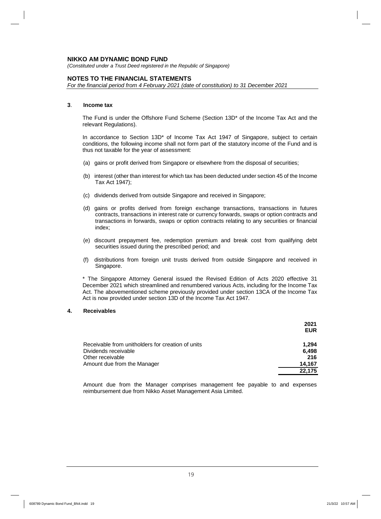*(Constituted under a Trust Deed registered in the Republic of Singapore)* 

# **NOTES TO THE FINANCIAL STATEMENTS**

*For the financial period from 4 February 2021 (date of constitution) to 31 December 2021* 

#### **3**. **Income tax**

The Fund is under the Offshore Fund Scheme (Section 13D\* of the Income Tax Act and the relevant Regulations).

In accordance to Section 13D\* of Income Tax Act 1947 of Singapore, subject to certain conditions, the following income shall not form part of the statutory income of the Fund and is thus not taxable for the year of assessment:

- (a) gains or profit derived from Singapore or elsewhere from the disposal of securities;
- (b) interest (other than interest for which tax has been deducted under section 45 of the Income Tax Act 1947);
- (c) dividends derived from outside Singapore and received in Singapore;
- (d) gains or profits derived from foreign exchange transactions, transactions in futures contracts, transactions in interest rate or currency forwards, swaps or option contracts and transactions in forwards, swaps or option contracts relating to any securities or financial index;
- (e) discount prepayment fee, redemption premium and break cost from qualifying debt securities issued during the prescribed period; and
- (f) distributions from foreign unit trusts derived from outside Singapore and received in Singapore.

\* The Singapore Attorney General issued the Revised Edition of Acts 2020 effective 31 December 2021 which streamlined and renumbered various Acts, including for the Income Tax Act. The abovementioned scheme previously provided under section 13CA of the Income Tax Act is now provided under section 13D of the Income Tax Act 1947.

#### **4. Receivables**

|                                                   | 2021       |
|---------------------------------------------------|------------|
|                                                   | <b>EUR</b> |
| Receivable from unitholders for creation of units | 1.294      |
| Dividends receivable                              | 6,498      |
| Other receivable                                  | 216        |
| Amount due from the Manager                       | 14,167     |
|                                                   | 22,175     |

Amount due from the Manager comprises management fee payable to and expenses reimbursement due from Nikko Asset Management Asia Limited.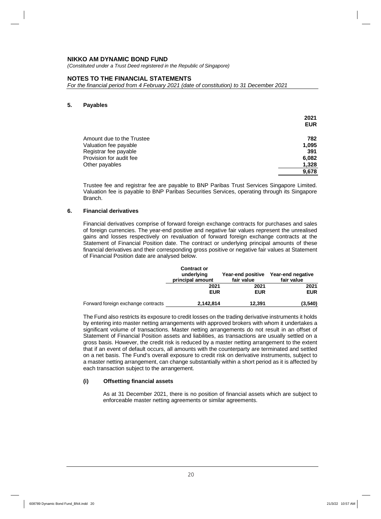*(Constituted under a Trust Deed registered in the Republic of Singapore)* 

# **NOTES TO THE FINANCIAL STATEMENTS**

*For the financial period from 4 February 2021 (date of constitution) to 31 December 2021* 

#### **5. Payables**

|                           | 2021       |
|---------------------------|------------|
|                           | <b>EUR</b> |
| Amount due to the Trustee | 782        |
| Valuation fee payable     | 1,095      |
| Registrar fee payable     | 391        |
| Provision for audit fee   | 6,082      |
| Other payables            | 1,328      |
|                           | 9,678      |

Trustee fee and registrar fee are payable to BNP Paribas Trust Services Singapore Limited. Valuation fee is payable to BNP Paribas Securities Services, operating through its Singapore Branch.

#### **6. Financial derivatives**

Financial derivatives comprise of forward foreign exchange contracts for purchases and sales of foreign currencies. The year-end positive and negative fair values represent the unrealised gains and losses respectively on revaluation of forward foreign exchange contracts at the Statement of Financial Position date. The contract or underlying principal amounts of these financial derivatives and their corresponding gross positive or negative fair values at Statement of Financial Position date are analysed below.

|                                    | <b>Contract or</b><br>underlying<br>principal amount | fair value | Year-end positive Year-end negative<br>fair value |
|------------------------------------|------------------------------------------------------|------------|---------------------------------------------------|
|                                    | 2021                                                 | 2021       | 2021                                              |
|                                    | <b>EUR</b>                                           | <b>EUR</b> | <b>EUR</b>                                        |
| Forward foreign exchange contracts | 2,142,814                                            | 12.391     | (3,540)                                           |

The Fund also restricts its exposure to credit losses on the trading derivative instruments it holds by entering into master netting arrangements with approved brokers with whom it undertakes a significant volume of transactions. Master netting arrangements do not result in an offset of Statement of Financial Position assets and liabilities, as transactions are usually settled on a gross basis. However, the credit risk is reduced by a master netting arrangement to the extent that if an event of default occurs, all amounts with the counterparty are terminated and settled on a net basis. The Fund's overall exposure to credit risk on derivative instruments, subject to a master netting arrangement, can change substantially within a short period as it is affected by each transaction subject to the arrangement.

# **(i) Offsetting financial assets**

As at 31 December 2021, there is no position of financial assets which are subject to enforceable master netting agreements or similar agreements.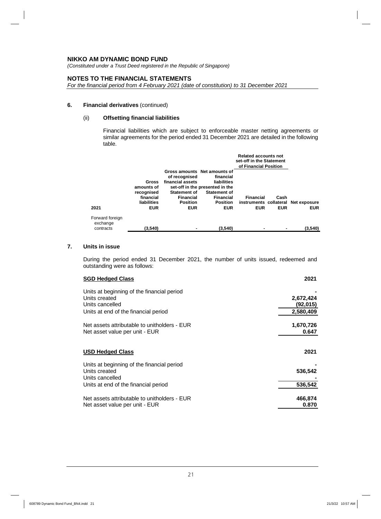*(Constituted under a Trust Deed registered in the Republic of Singapore)* 

# **NOTES TO THE FINANCIAL STATEMENTS**

*For the financial period from 4 February 2021 (date of constitution) to 31 December 2021* 

#### **6. Financial derivatives** (continued)

#### (ii) **Offsetting financial liabilities**

Financial liabilities which are subject to enforceable master netting agreements or similar agreements for the period ended 31 December 2021 are detailed in the following table.

|                                          |                                                                             |                                                                                                        | <b>Related accounts not</b><br>set-off in the Statement<br>of Financial Position                                                                                        |                                |                    |                                                   |
|------------------------------------------|-----------------------------------------------------------------------------|--------------------------------------------------------------------------------------------------------|-------------------------------------------------------------------------------------------------------------------------------------------------------------------------|--------------------------------|--------------------|---------------------------------------------------|
| 2021                                     | Gross<br>amounts of<br>recognised<br>financial<br>liabilities<br><b>EUR</b> | of recognised<br>financial assets<br>Statement of<br><b>Financial</b><br><b>Position</b><br><b>EUR</b> | Gross amounts Net amounts of<br>financial<br>liabilities<br>set-off in the presented in the<br><b>Statement of</b><br><b>Financial</b><br><b>Position</b><br><b>EUR</b> | <b>Financial</b><br><b>EUR</b> | Cash<br><b>EUR</b> | instruments collateral Net exposure<br><b>EUR</b> |
| Forward foreign<br>exchange<br>contracts | (3,540)                                                                     |                                                                                                        | (3,540)                                                                                                                                                                 | $\overline{\phantom{0}}$       |                    | (3,540)                                           |

# **7. Units in issue**

During the period ended 31 December 2021, the number of units issued, redeemed and outstanding were as follows:

| <b>SGD Hedged Class</b>                                                        | 2021      |
|--------------------------------------------------------------------------------|-----------|
| Units at beginning of the financial period<br>Units created                    | 2,672,424 |
| Units cancelled                                                                | (92,015)  |
| Units at end of the financial period                                           | 2,580,409 |
| Net assets attributable to unitholders - EUR                                   | 1,670,726 |
| Net asset value per unit - EUR                                                 | 0.647     |
| <b>USD Hedged Class</b>                                                        | 2021      |
| Units at beginning of the financial period<br>Units created<br>Units cancelled | 536,542   |
| Units at end of the financial period                                           | 536,542   |
| Net assets attributable to unitholders - EUR                                   | 466,874   |
| Net asset value per unit - EUR                                                 | 0.870     |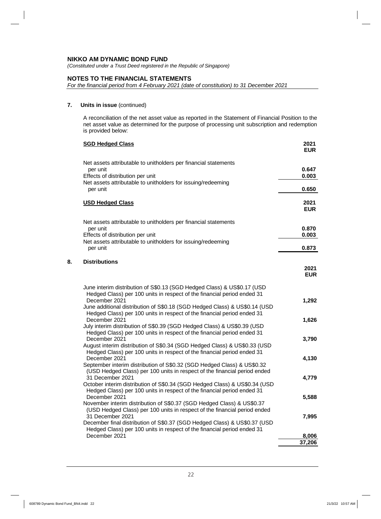*(Constituted under a Trust Deed registered in the Republic of Singapore)* 

# **NOTES TO THE FINANCIAL STATEMENTS**

*For the financial period from 4 February 2021 (date of constitution) to 31 December 2021* 

# **7. Units in issue** (continued)

A reconciliation of the net asset value as reported in the Statement of Financial Position to the net asset value as determined for the purpose of processing unit subscription and redemption is provided below:

|    | <b>SGD Hedged Class</b>                                                                                                                                                                                                                               | 2021<br><b>EUR</b> |
|----|-------------------------------------------------------------------------------------------------------------------------------------------------------------------------------------------------------------------------------------------------------|--------------------|
|    | Net assets attributable to unitholders per financial statements<br>per unit<br>Effects of distribution per unit<br>Net assets attributable to unitholders for issuing/redeeming                                                                       | 0.647<br>0.003     |
|    | per unit                                                                                                                                                                                                                                              | 0.650              |
|    | <b>USD Hedged Class</b>                                                                                                                                                                                                                               | 2021<br><b>EUR</b> |
|    | Net assets attributable to unitholders per financial statements<br>per unit<br>Effects of distribution per unit                                                                                                                                       | 0.870<br>0.003     |
|    | Net assets attributable to unitholders for issuing/redeeming<br>per unit                                                                                                                                                                              | 0.873              |
| 8. | <b>Distributions</b>                                                                                                                                                                                                                                  | 2021<br><b>EUR</b> |
|    | June interim distribution of S\$0.13 (SGD Hedged Class) & US\$0.17 (USD<br>Hedged Class) per 100 units in respect of the financial period ended 31<br>December 2021<br>June additional distribution of S\$0.18 (SGD Hedged Class) & US\$0.14 (USD     | 1,292              |
|    | Hedged Class) per 100 units in respect of the financial period ended 31<br>December 2021                                                                                                                                                              | 1,626              |
|    | July interim distribution of S\$0.39 (SGD Hedged Class) & US\$0.39 (USD<br>Hedged Class) per 100 units in respect of the financial period ended 31<br>December 2021<br>August interim distribution of S\$0.34 (SGD Hedged Class) & US\$0.33 (USD      | 3,790              |
|    | Hedged Class) per 100 units in respect of the financial period ended 31<br>December 2021<br>September interim distribution of S\$0.32 (SGD Hedged Class) & US\$0.32                                                                                   | 4,130              |
|    | (USD Hedged Class) per 100 units in respect of the financial period ended<br>31 December 2021<br>October interim distribution of S\$0.34 (SGD Hedged Class) & US\$0.34 (USD                                                                           | 4,779              |
|    | Hedged Class) per 100 units in respect of the financial period ended 31<br>December 2021<br>November interim distribution of S\$0.37 (SGD Hedged Class) & US\$0.37                                                                                    | 5,588              |
|    | (USD Hedged Class) per 100 units in respect of the financial period ended<br>31 December 2021<br>December final distribution of S\$0.37 (SGD Hedged Class) & US\$0.37 (USD<br>Hedged Class) per 100 units in respect of the financial period ended 31 | 7,995              |
|    | December 2021                                                                                                                                                                                                                                         | 8,006              |
|    |                                                                                                                                                                                                                                                       | 37,206             |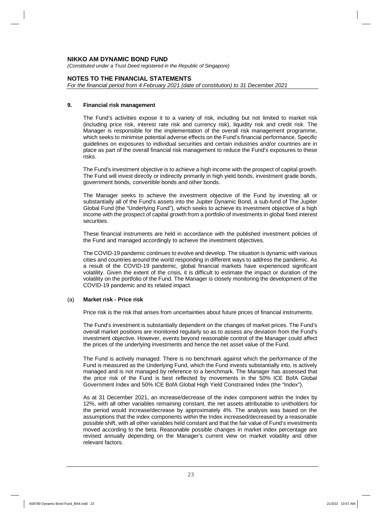*(Constituted under a Trust Deed registered in the Republic of Singapore)* 

# **NOTES TO THE FINANCIAL STATEMENTS**

*For the financial period from 4 February 2021 (date of constitution) to 31 December 2021* 

#### **9. Financial risk management**

The Fund's activities expose it to a variety of risk, including but not limited to market risk (including price risk, interest rate risk and currency risk), liquidity risk and credit risk. The Manager is responsible for the implementation of the overall risk management programme, which seeks to minimise potential adverse effects on the Fund's financial performance. Specific guidelines on exposures to individual securities and certain industries and/or countries are in place as part of the overall financial risk management to reduce the Fund's exposures to these risks.

The Fund's investment objective is to achieve a high income with the prospect of capital growth. The Fund will invest directly or indirectly primarily in high yield bonds, investment grade bonds, government bonds, convertible bonds and other bonds.

The Manager seeks to achieve the investment objective of the Fund by investing all or substantially all of the Fund's assets into the Jupiter Dynamic Bond, a sub-fund of The Jupiter Global Fund (the "Underlying Fund"), which seeks to achieve its investment objective of a high income with the prospect of capital growth from a portfolio of investments in global fixed interest securities.

These financial instruments are held in accordance with the published investment policies of the Fund and managed accordingly to achieve the investment objectives.

The COVID-19 pandemic continues to evolve and develop. The situation is dynamic with various cities and countries around the world responding in different ways to address the pandemic. As a result of the COVID-19 pandemic, global financial markets have experienced significant volatility. Given the extent of the crisis, it is difficult to estimate the impact or duration of the volatility on the portfolio of the Fund. The Manager is closely monitoring the development of the COVID-19 pandemic and its related impact.

#### (a) **Market risk - Price risk**

Price risk is the risk that arises from uncertainties about future prices of financial instruments.

The Fund's investment is substantially dependent on the changes of market prices. The Fund's overall market positions are monitored regularly so as to assess any deviation from the Fund's investment objective. However, events beyond reasonable control of the Manager could affect the prices of the underlying investments and hence the net asset value of the Fund.

The Fund is actively managed. There is no benchmark against which the performance of the Fund is measured as the Underlying Fund, which the Fund invests substantially into, is actively managed and is not managed by reference to a benchmark. The Manager has assessed that the price risk of the Fund is best reflected by movements in the 50% ICE BofA Global Government Index and 50% ICE BofA Global High Yield Constrained Index (the "Index").

As at 31 December 2021, an increase/decrease of the index component within the Index by 12%, with all other variables remaining constant, the net assets attributable to unitholders for the period would increase/decrease by approximately 4%. The analysis was based on the assumptions that the index components within the Index increased/decreased by a reasonable possible shift, with all other variables held constant and that the fair value of Fund's investments moved according to the beta. Reasonable possible changes in market index percentage are revised annually depending on the Manager's current view on market volatility and other relevant factors.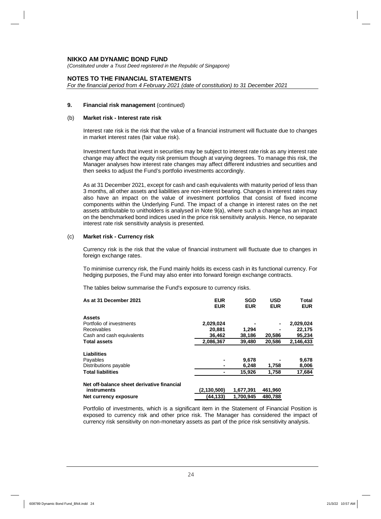*(Constituted under a Trust Deed registered in the Republic of Singapore)* 

# **NOTES TO THE FINANCIAL STATEMENTS**

*For the financial period from 4 February 2021 (date of constitution) to 31 December 2021* 

#### **9.** Financial risk management (continued)

#### (b) **Market risk - Interest rate risk**

Interest rate risk is the risk that the value of a financial instrument will fluctuate due to changes in market interest rates (fair value risk).

Investment funds that invest in securities may be subject to interest rate risk as any interest rate change may affect the equity risk premium though at varying degrees. To manage this risk, the Manager analyses how interest rate changes may affect different industries and securities and then seeks to adjust the Fund's portfolio investments accordingly.

As at 31 December 2021, except for cash and cash equivalents with maturity period of less than 3 months, all other assets and liabilities are non-interest bearing. Changes in interest rates may also have an impact on the value of investment portfolios that consist of fixed income components within the Underlying Fund. The impact of a change in interest rates on the net assets attributable to unitholders is analysed in Note 9(a), where such a change has an impact on the benchmarked bond indices used in the price risk sensitivity analysis. Hence, no separate interest rate risk sensitivity analysis is presented.

#### (c) **Market risk - Currency risk**

Currency risk is the risk that the value of financial instrument will fluctuate due to changes in foreign exchange rates.

To minimise currency risk, the Fund mainly holds its excess cash in its functional currency. For hedging purposes, the Fund may also enter into forward foreign exchange contracts.

The tables below summarise the Fund's exposure to currency risks.

| As at 31 December 2021                     | <b>EUR</b><br><b>EUR</b> | <b>SGD</b><br><b>EUR</b> | <b>USD</b><br><b>EUR</b> | Total<br><b>EUR</b> |
|--------------------------------------------|--------------------------|--------------------------|--------------------------|---------------------|
| <b>Assets</b>                              |                          |                          |                          |                     |
| Portfolio of investments                   | 2,029,024                |                          |                          | 2,029,024           |
| <b>Receivables</b>                         | 20.881                   | 1,294                    |                          | 22.175              |
| Cash and cash equivalents                  | 36,462                   | 38,186                   | 20,586                   | 95,234              |
| <b>Total assets</b>                        | 2,086,367                | 39,480                   | 20.586                   | 2,146,433           |
| Liabilities                                |                          |                          |                          |                     |
| Payables                                   |                          | 9,678                    |                          | 9,678               |
| Distributions payable                      |                          | 6,248                    | 1,758                    | 8,006               |
| <b>Total liabilities</b>                   |                          | 15,926                   | 1,758                    | 17,684              |
| Net off-balance sheet derivative financial |                          |                          |                          |                     |
| instruments                                | (2, 130, 500)            | 1,677,391                | 461,960                  |                     |
| Net currency exposure                      | (44,133)                 | 1,700,945                | 480.788                  |                     |

Portfolio of investments, which is a significant item in the Statement of Financial Position is exposed to currency risk and other price risk. The Manager has considered the impact of currency risk sensitivity on non-monetary assets as part of the price risk sensitivity analysis.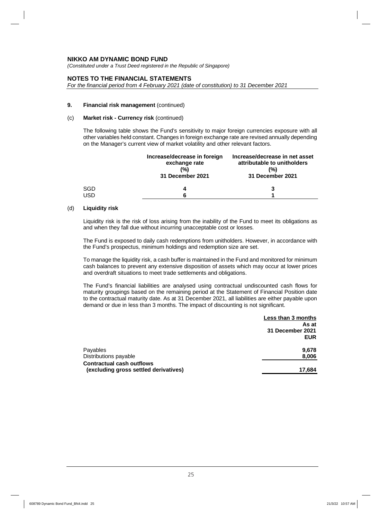*(Constituted under a Trust Deed registered in the Republic of Singapore)* 

# **NOTES TO THE FINANCIAL STATEMENTS**

*For the financial period from 4 February 2021 (date of constitution) to 31 December 2021* 

#### **9.** Financial risk management (continued)

#### (c) **Market risk - Currency risk** (continued)

The following table shows the Fund's sensitivity to major foreign currencies exposure with all other variables held constant. Changes in foreign exchange rate are revised annually depending on the Manager's current view of market volatility and other relevant factors.

|            | Increase/decrease in foreign<br>exchange rate<br>(%)<br>31 December 2021 | Increase/decrease in net asset<br>attributable to unitholders<br>(%)<br>31 December 2021 |
|------------|--------------------------------------------------------------------------|------------------------------------------------------------------------------------------|
| <b>SGD</b> | 4                                                                        | З                                                                                        |
| <b>USD</b> | 6                                                                        |                                                                                          |

#### (d) **Liquidity risk**

Liquidity risk is the risk of loss arising from the inability of the Fund to meet its obligations as and when they fall due without incurring unacceptable cost or losses.

The Fund is exposed to daily cash redemptions from unitholders. However, in accordance with the Fund's prospectus, minimum holdings and redemption size are set.

To manage the liquidity risk, a cash buffer is maintained in the Fund and monitored for minimum cash balances to prevent any extensive disposition of assets which may occur at lower prices and overdraft situations to meet trade settlements and obligations.

The Fund's financial liabilities are analysed using contractual undiscounted cash flows for maturity groupings based on the remaining period at the Statement of Financial Position date to the contractual maturity date. As at 31 December 2021, all liabilities are either payable upon demand or due in less than 3 months. The impact of discounting is not significant.

|                                                                           | Less than 3 months |
|---------------------------------------------------------------------------|--------------------|
|                                                                           | As at              |
|                                                                           | 31 December 2021   |
|                                                                           | <b>EUR</b>         |
| Payables                                                                  | 9,678              |
| Distributions payable                                                     | 8,006              |
| <b>Contractual cash outflows</b><br>(excluding gross settled derivatives) | 17,684             |
|                                                                           |                    |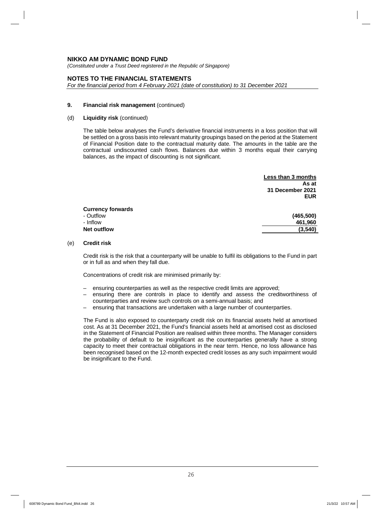*(Constituted under a Trust Deed registered in the Republic of Singapore)* 

# **NOTES TO THE FINANCIAL STATEMENTS**

*For the financial period from 4 February 2021 (date of constitution) to 31 December 2021* 

#### **9.** Financial risk management (continued)

(d) **Liquidity risk** (continued)

The table below analyses the Fund's derivative financial instruments in a loss position that will be settled on a gross basis into relevant maturity groupings based on the period at the Statement of Financial Position date to the contractual maturity date. The amounts in the table are the contractual undiscounted cash flows. Balances due within 3 months equal their carrying balances, as the impact of discounting is not significant.

|                          | Less than 3 months |
|--------------------------|--------------------|
|                          | As at              |
|                          | 31 December 2021   |
|                          | <b>EUR</b>         |
| <b>Currency forwards</b> |                    |
| - Outflow                | (465, 500)         |
| - Inflow                 | 461,960            |
| <b>Net outflow</b>       | (3, 540)           |

#### (e) **Credit risk**

Credit risk is the risk that a counterparty will be unable to fulfil its obligations to the Fund in part or in full as and when they fall due.

Concentrations of credit risk are minimised primarily by:

- ensuring counterparties as well as the respective credit limits are approved;
- ensuring there are controls in place to identify and assess the creditworthiness of counterparties and review such controls on a semi-annual basis; and
- ensuring that transactions are undertaken with a large number of counterparties.

The Fund is also exposed to counterparty credit risk on its financial assets held at amortised cost. As at 31 December 2021, the Fund's financial assets held at amortised cost as disclosed in the Statement of Financial Position are realised within three months. The Manager considers the probability of default to be insignificant as the counterparties generally have a strong capacity to meet their contractual obligations in the near term. Hence, no loss allowance has been recognised based on the 12-month expected credit losses as any such impairment would be insignificant to the Fund.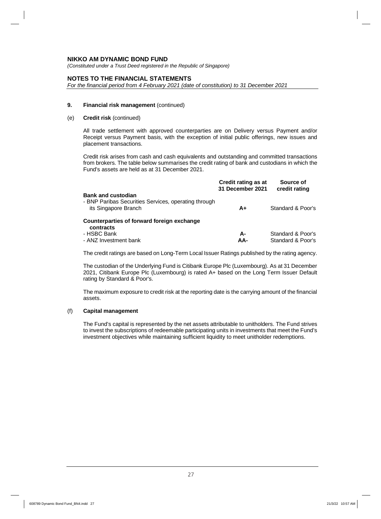*(Constituted under a Trust Deed registered in the Republic of Singapore)* 

# **NOTES TO THE FINANCIAL STATEMENTS**

*For the financial period from 4 February 2021 (date of constitution) to 31 December 2021* 

#### **9.** Financial risk management (continued)

#### (e) **Credit risk** (continued)

All trade settlement with approved counterparties are on Delivery versus Payment and/or Receipt versus Payment basis, with the exception of initial public offerings, new issues and placement transactions.

Credit risk arises from cash and cash equivalents and outstanding and committed transactions from brokers. The table below summarises the credit rating of bank and custodians in which the Fund's assets are held as at 31 December 2021.

|                                                                                                           | <b>Credit rating as at</b><br>31 December 2021 | Source of<br>credit rating |
|-----------------------------------------------------------------------------------------------------------|------------------------------------------------|----------------------------|
| <b>Bank and custodian</b><br>- BNP Paribas Securities Services, operating through<br>its Singapore Branch | A+                                             | Standard & Poor's          |
| Counterparties of forward foreign exchange<br>contracts                                                   |                                                |                            |
| - HSBC Bank                                                                                               | А-                                             | Standard & Poor's          |
| - ANZ Investment bank                                                                                     | AA-                                            | Standard & Poor's          |

The credit ratings are based on Long-Term Local Issuer Ratings published by the rating agency.

The custodian of the Underlying Fund is Citibank Europe Plc (Luxembourg). As at 31 December 2021, Citibank Europe Plc (Luxembourg) is rated A+ based on the Long Term Issuer Default rating by Standard & Poor's.

The maximum exposure to credit risk at the reporting date is the carrying amount of the financial assets.

#### (f) **Capital management**

The Fund's capital is represented by the net assets attributable to unitholders. The Fund strives to invest the subscriptions of redeemable participating units in investments that meet the Fund's investment objectives while maintaining sufficient liquidity to meet unitholder redemptions.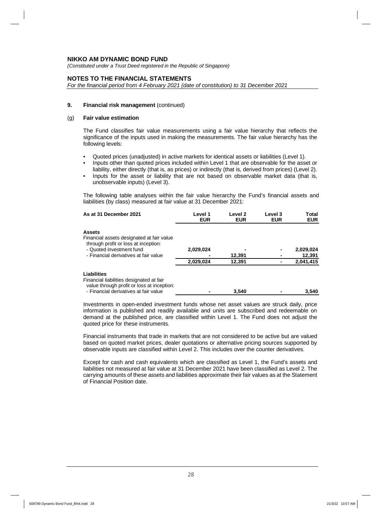*(Constituted under a Trust Deed registered in the Republic of Singapore)* 

# **NOTES TO THE FINANCIAL STATEMENTS**

*For the financial period from 4 February 2021 (date of constitution) to 31 December 2021* 

#### **9.** Financial risk management (continued)

#### (g) **Fair value estimation**

The Fund classifies fair value measurements using a fair value hierarchy that reflects the significance of the inputs used in making the measurements. The fair value hierarchy has the following levels:

- Quoted prices (unadjusted) in active markets for identical assets or liabilities (Level 1).
- Inputs other than quoted prices included within Level 1 that are observable for the asset or liability, either directly (that is, as prices) or indirectly (that is, derived from prices) (Level 2).
- Inputs for the asset or liability that are not based on observable market data (that is, unobservable inputs) (Level 3).

The following table analyses within the fair value hierarchy the Fund's financial assets and liabilities (by class) measured at fair value at 31 December 2021:

| As at 31 December 2021                                                                                                                                                  | Level 1<br><b>EUR</b>  | Level 2<br><b>EUR</b> | Level 3<br><b>EUR</b> | Total<br><b>EUR</b>              |
|-------------------------------------------------------------------------------------------------------------------------------------------------------------------------|------------------------|-----------------------|-----------------------|----------------------------------|
| <b>Assets</b><br>Financial assets designated at fair value<br>through profit or loss at inception:<br>- Quoted investment fund<br>- Financial derivatives at fair value | 2,029,024<br>2,029,024 | 12,391<br>12,391      |                       | 2,029,024<br>12,391<br>2,041,415 |
| Liabilities<br>Financial liabilities designated at fair<br>value through profit or loss at inception:                                                                   |                        |                       |                       |                                  |
| - Financial derivatives at fair value                                                                                                                                   |                        | 3,540                 |                       | 3,540                            |

Investments in open-ended investment funds whose net asset values are struck daily, price information is published and readily available and units are subscribed and redeemable on demand at the published price, are classified within Level 1. The Fund does not adjust the quoted price for these instruments.

Financial instruments that trade in markets that are not considered to be active but are valued based on quoted market prices, dealer quotations or alternative pricing sources supported by observable inputs are classified within Level 2. This includes over the counter derivatives.

Except for cash and cash equivalents which are classified as Level 1, the Fund's assets and liabilities not measured at fair value at 31 December 2021 have been classified as Level 2. The carrying amounts of these assets and liabilities approximate their fair values as at the Statement of Financial Position date.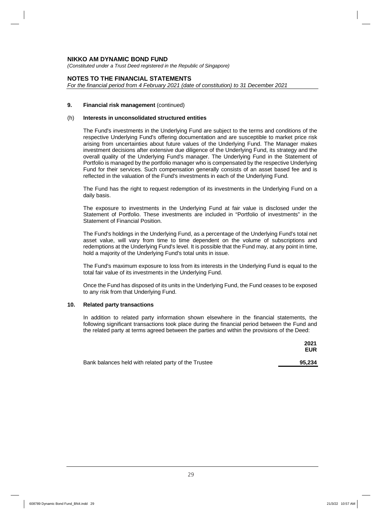*(Constituted under a Trust Deed registered in the Republic of Singapore)* 

# **NOTES TO THE FINANCIAL STATEMENTS**

*For the financial period from 4 February 2021 (date of constitution) to 31 December 2021* 

#### **9. Financial risk management** (continued)

#### (h) **Interests in unconsolidated structured entities**

The Fund's investments in the Underlying Fund are subject to the terms and conditions of the respective Underlying Fund's offering documentation and are susceptible to market price risk arising from uncertainties about future values of the Underlying Fund. The Manager makes investment decisions after extensive due diligence of the Underlying Fund, its strategy and the overall quality of the Underlying Fund's manager. The Underlying Fund in the Statement of Portfolio is managed by the portfolio manager who is compensated by the respective Underlying Fund for their services. Such compensation generally consists of an asset based fee and is reflected in the valuation of the Fund's investments in each of the Underlying Fund.

The Fund has the right to request redemption of its investments in the Underlying Fund on a daily basis.

The exposure to investments in the Underlying Fund at fair value is disclosed under the Statement of Portfolio. These investments are included in "Portfolio of investments" in the Statement of Financial Position.

The Fund's holdings in the Underlying Fund, as a percentage of the Underlying Fund's total net asset value, will vary from time to time dependent on the volume of subscriptions and redemptions at the Underlying Fund's level. It is possible that the Fund may, at any point in time, hold a majority of the Underlying Fund's total units in issue.

The Fund's maximum exposure to loss from its interests in the Underlying Fund is equal to the total fair value of its investments in the Underlying Fund.

Once the Fund has disposed of its units in the Underlying Fund, the Fund ceases to be exposed to any risk from that Underlying Fund.

#### **10. Related party transactions**

In addition to related party information shown elsewhere in the financial statements, the following significant transactions took place during the financial period between the Fund and the related party at terms agreed between the parties and within the provisions of the Deed:

|                                                      | 2021<br><b>EUR</b> |
|------------------------------------------------------|--------------------|
| Bank balances held with related party of the Trustee | 95,234             |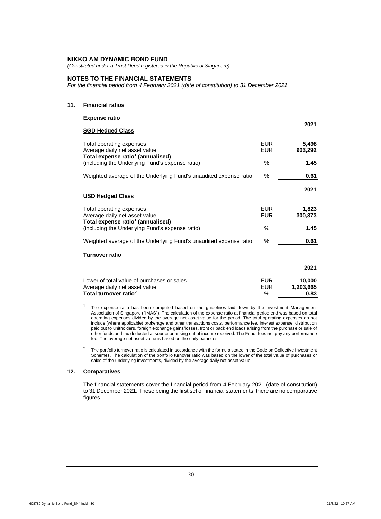*(Constituted under a Trust Deed registered in the Republic of Singapore)* 

# **NOTES TO THE FINANCIAL STATEMENTS**

*For the financial period from 4 February 2021 (date of constitution) to 31 December 2021* 

#### **11. Financial ratios**

| <b>Expense ratio</b>                                                                                             |                            |                             |
|------------------------------------------------------------------------------------------------------------------|----------------------------|-----------------------------|
| <b>SGD Hedged Class</b>                                                                                          |                            | 2021                        |
| Total operating expenses<br>Average daily net asset value<br>Total expense ratio <sup>1</sup> (annualised)       | EUR<br>EUR.                | 5,498<br>903,292            |
| (including the Underlying Fund's expense ratio)                                                                  | %                          | 1.45                        |
| Weighted average of the Underlying Fund's unaudited expense ratio                                                | %                          | 0.61                        |
| <b>USD Hedged Class</b>                                                                                          |                            | 2021                        |
| Total operating expenses<br>Average daily net asset value<br>Total expense ratio <sup>1</sup> (annualised)       | EUR.<br>EUR.               | 1,823<br>300,373            |
| (including the Underlying Fund's expense ratio)                                                                  | $\%$                       | 1.45                        |
| Weighted average of the Underlying Fund's unaudited expense ratio                                                | $\%$                       | 0.61                        |
| <b>Turnover ratio</b>                                                                                            |                            |                             |
|                                                                                                                  |                            | 2021                        |
| Lower of total value of purchases or sales<br>Average daily net asset value<br>Total turnover ratio <sup>2</sup> | EUR.<br><b>EUR</b><br>$\%$ | 10,000<br>1,203,665<br>0.83 |

- <sup>1</sup> The expense ratio has been computed based on the guidelines laid down by the Investment Management Association of Singapore ("IMAS"). The calculation of the expense ratio at financial period end was based on total operating expenses divided by the average net asset value for the period. The total operating expenses do not include (where applicable) brokerage and other transactions costs, performance fee, interest expense, distribution paid out to unitholders, foreign exchange gains/losses, front or back end loads arising from the purchase or sale of other funds and tax deducted at source or arising out of income received. The Fund does not pay any performance fee. The average net asset value is based on the daily balances.
- 2 The portfolio turnover ratio is calculated in accordance with the formula stated in the Code on Collective Investment Schemes. The calculation of the portfolio turnover ratio was based on the lower of the total value of purchases or sales of the underlying investments, divided by the average daily net asset value.

#### **12. Comparatives**

The financial statements cover the financial period from 4 February 2021 (date of constitution) to 31 December 2021. These being the first set of financial statements, there are no comparative figures.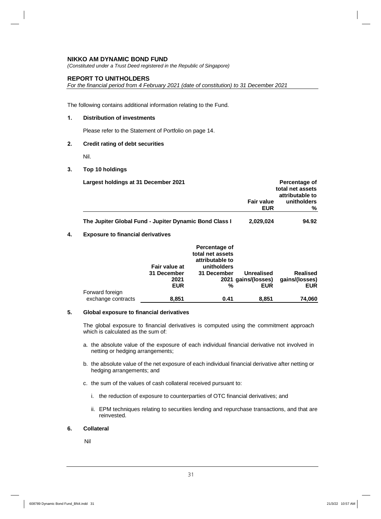*(Constituted under a Trust Deed registered in the Republic of Singapore)* 

# **REPORT TO UNITHOLDERS**

*For the financial period from 4 February 2021 (date of constitution) to 31 December 2021* 

The following contains additional information relating to the Fund.

### **Distribution of investments**

Please refer to the Statement of Portfolio on page 14.

### **Credit rating of debt securities**

Nil.

#### **Top 10 holdings**

| Percentage of<br>total net assets<br>attributable to<br><b>Fair value</b><br>unitholders |            |
|------------------------------------------------------------------------------------------|------------|
| 2,029,024                                                                                | ℅<br>94.92 |
|                                                                                          | <b>EUR</b> |

# **4. Exposure to financial derivatives**

|                    |               | Percentage of<br>total net assets<br>attributable to |                     |                 |
|--------------------|---------------|------------------------------------------------------|---------------------|-----------------|
|                    | Fair value at | unitholders                                          |                     |                 |
|                    | 31 December   | 31 December                                          | Unrealised          | <b>Realised</b> |
|                    | 2021          |                                                      | 2021 gains/(losses) | gains/(losses)  |
|                    | <b>EUR</b>    | %                                                    | <b>EUR</b>          | <b>EUR</b>      |
| Forward foreign    |               |                                                      |                     |                 |
| exchange contracts | 8,851         | 0.41                                                 | 8,851               | 74,060          |

#### **5. Global exposure to financial derivatives**

The global exposure to financial derivatives is computed using the commitment approach which is calculated as the sum of:

- a. the absolute value of the exposure of each individual financial derivative not involved in netting or hedging arrangements;
- b. the absolute value of the net exposure of each individual financial derivative after netting or hedging arrangements; and
- c. the sum of the values of cash collateral received pursuant to:
	- i. the reduction of exposure to counterparties of OTC financial derivatives; and
	- ii. EPM techniques relating to securities lending and repurchase transactions, and that are reinvested.

### **6. Collateral**

Nil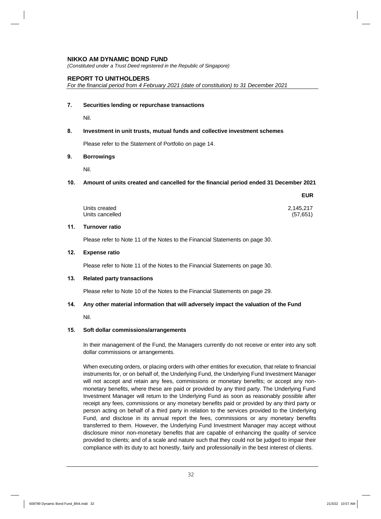*(Constituted under a Trust Deed registered in the Republic of Singapore)* 

# **REPORT TO UNITHOLDERS**

*For the financial period from 4 February 2021 (date of constitution) to 31 December 2021* 

#### **Securities lending or repurchase transactions**

Nil.

### **Investment in unit trusts, mutual funds and collective investment schemes**

Please refer to the Statement of Portfolio on page 14.

### **Borrowings**

Nil.

#### **Amount of units created and cancelled for the financial period ended 31 December 2021**

| Units created   | 2.145.217 |
|-----------------|-----------|
| Units cancelled | (57, 651) |

**EUR** 

#### **Turnover ratio**

Please refer to Note 11 of the Notes to the Financial Statements on page 30.

#### **Expense ratio**

Please refer to Note 11 of the Notes to the Financial Statements on page 30.

#### **Related party transactions**

Please refer to Note 10 of the Notes to the Financial Statements on page 29.

# **Any other material information that will adversely impact the valuation of the Fund**

Nil.

# **Soft dollar commissions/arrangements**

In their management of the Fund, the Managers currently do not receive or enter into any soft dollar commissions or arrangements.

When executing orders, or placing orders with other entities for execution, that relate to financial instruments for, or on behalf of, the Underlying Fund, the Underlying Fund Investment Manager will not accept and retain any fees, commissions or monetary benefits; or accept any nonmonetary benefits, where these are paid or provided by any third party. The Underlying Fund Investment Manager will return to the Underlying Fund as soon as reasonably possible after receipt any fees, commissions or any monetary benefits paid or provided by any third party or person acting on behalf of a third party in relation to the services provided to the Underlying Fund, and disclose in its annual report the fees, commissions or any monetary benefits transferred to them. However, the Underlying Fund Investment Manager may accept without disclosure minor non-monetary benefits that are capable of enhancing the quality of service provided to clients; and of a scale and nature such that they could not be judged to impair their compliance with its duty to act honestly, fairly and professionally in the best interest of clients.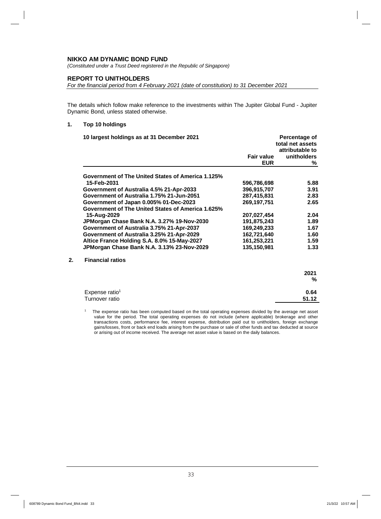*(Constituted under a Trust Deed registered in the Republic of Singapore)* 

# **REPORT TO UNITHOLDERS**

*For the financial period from 4 February 2021 (date of constitution) to 31 December 2021*

The details which follow make reference to the investments within The Jupiter Global Fund - Jupiter Dynamic Bond, unless stated otherwise.

# **1. Top 10 holdings**

| 10 largest holdings as at 31 December 2021               | Percentage of<br>total net assets<br>attributable to |                  |
|----------------------------------------------------------|------------------------------------------------------|------------------|
|                                                          | <b>Fair value</b><br><b>EUR</b>                      | unitholders<br>℅ |
|                                                          |                                                      |                  |
| <b>Government of The United States of America 1.125%</b> |                                                      |                  |
| 15-Feb-2031                                              | 596,786,698                                          | 5.88             |
| Government of Australia 4.5% 21-Apr-2033                 | 396,915,707                                          | 3.91             |
| Government of Australia 1.75% 21-Jun-2051                | 287,415,831                                          | 2.83             |
| Government of Japan 0.005% 01-Dec-2023                   | 269,197,751                                          | 2.65             |
| Government of The United States of America 1.625%        |                                                      |                  |
| 15-Aug-2029                                              | 207,027,454                                          | 2.04             |
| JPMorgan Chase Bank N.A. 3.27% 19-Nov-2030               | 191,875,243                                          | 1.89             |
| Government of Australia 3.75% 21-Apr-2037                | 169,249,233                                          | 1.67             |
| Government of Australia 3.25% 21-Apr-2029                | 162,721,640                                          | 1.60             |
| Altice France Holding S.A. 8.0% 15-May-2027              | 161,253,221                                          | 1.59             |
| JPMorgan Chase Bank N.A. 3.13% 23-Nov-2029               | 135,150,981                                          | 1.33             |

|                            | 2021  |
|----------------------------|-------|
|                            | %     |
| Expense ratio <sup>1</sup> | 0.64  |
| Turnover ratio             | 51.12 |

1 The expense ratio has been computed based on the total operating expenses divided by the average net asset value for the period. The total operating expenses do not include (where applicable) brokerage and other transactions costs, performance fee, interest expense, distribution paid out to unitholders, foreign exchange gains/losses, front or back end loads arising from the purchase or sale of other funds and tax deducted at source or arising out of income received. The average net asset value is based on the daily balances.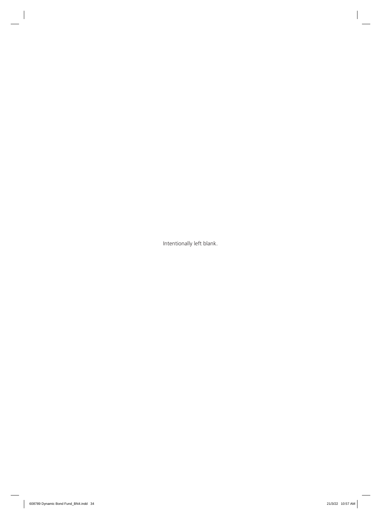Intentionally left blank.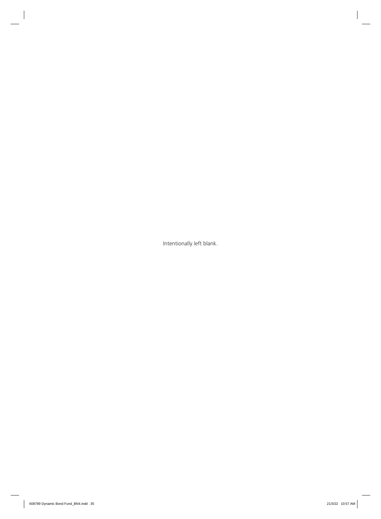Intentionally left blank.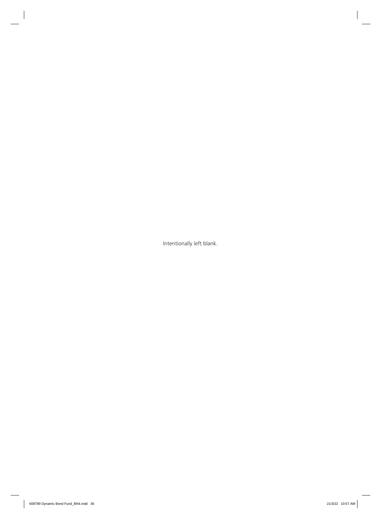Intentionally left blank.